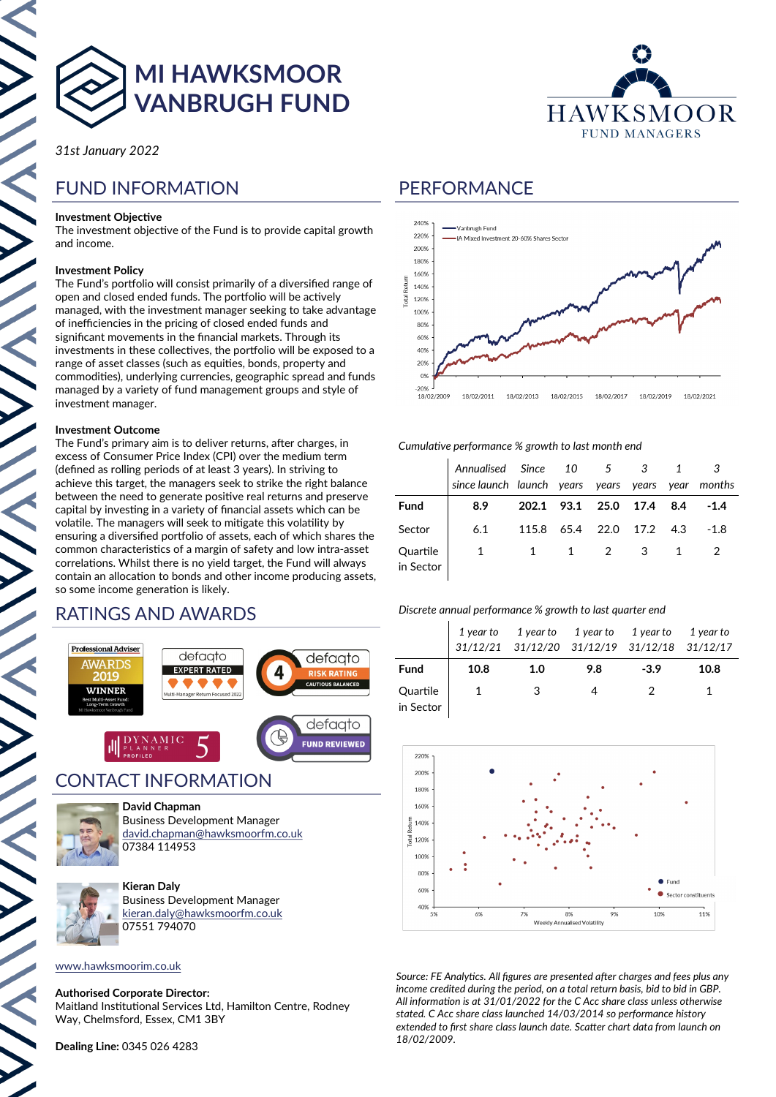

**MI HAWKSMOOR VANBRUGH FUND**

*31st January 2022*

# FUND INFORMATION

#### **Investment Objective**

The investment objective of the Fund is to provide capital growth and income.

#### **Investment Policy**

The Fund's portfolio will consist primarily of a diversified range of open and closed ended funds. The portfolio will be actively managed, with the investment manager seeking to take advantage of inefficiencies in the pricing of closed ended funds and significant movements in the financial markets. Through its investments in these collectives, the portfolio will be exposed to a range of asset classes (such as equities, bonds, property and commodities), underlying currencies, geographic spread and funds managed by a variety of fund management groups and style of investment manager.

#### **Investment Outcome**

The Fund's primary aim is to deliver returns, after charges, in excess of Consumer Price Index (CPI) over the medium term (defined as rolling periods of at least 3 years). In striving to achieve this target, the managers seek to strike the right balance between the need to generate positive real returns and preserve capital by investing in a variety of financial assets which can be volatile. The managers will seek to mitigate this volatility by ensuring a diversified portfolio of assets, each of which shares the common characteristics of a margin of safety and low intra-asset correlations. Whilst there is no yield target, the Fund will always contain an allocation to bonds and other income producing assets, so some income generation is likely.

## RATINGS AND AWARDS



## CONTACT INFORMATION



**David Chapman** Business Development Manager [david.chapman@hawksmoorfm.co.uk](mailto:david.chapman@hawksmoorfm.co.uk) 07384 114953



**Kieran Daly** Business Development Manager [kieran.daly@hawksmoorfm.co.uk](mailto:david.chapman@hawksmoorfm.co.uk) 07551 794070

### [www.hawksmoorim.co.uk](http://www.hawksmoorim.co.uk)

#### **Authorised Corporate Director:**

Maitland Institutional Services Ltd, Hamilton Centre, Rodney Way, Chelmsford, Essex, CM1 3BY

**Dealing Line:** 0345 026 4283



## PERFORMANCE



#### *Cumulative performance % growth to last month end*

|                       | Annualised Since 10 5 3 1 3<br>since launch launch years years years year months |                          |       |  |        |
|-----------------------|----------------------------------------------------------------------------------|--------------------------|-------|--|--------|
| <b>Fund</b>           | 8.9                                                                              | 202.1 93.1 25.0 17.4 8.4 |       |  | $-1.4$ |
| Sector                | 6.1                                                                              | 115.8 65.4 22.0 17.2 4.3 |       |  | $-1.8$ |
| Quartile<br>in Sector | $1 \quad$                                                                        |                          | 1 2 3 |  |        |

#### *Discrete annual performance % growth to last quarter end*

|                       |      | 1 year to 1 year to 1 year to 1 year to<br>$31/12/21 \quad 31/12/20 \quad 31/12/19 \quad 31/12/18 \quad 31/12/17$ |     |        | 1 year to |
|-----------------------|------|-------------------------------------------------------------------------------------------------------------------|-----|--------|-----------|
| <b>Fund</b>           | 10.8 | 1.0                                                                                                               | 9.8 | $-3.9$ | 10.8      |
| Quartile<br>in Sector |      | 3                                                                                                                 |     |        |           |



*Source: FE Analytics. All figures are presented after charges and fees plus any income credited during the period, on a total return basis, bid to bid in GBP. All information is at 31/01/2022 for the C Acc share class unless otherwise stated. C Acc share class launched 14/03/2014 so performance history extended to first share class launch date. Scatter chart data from launch on 18/02/2009.*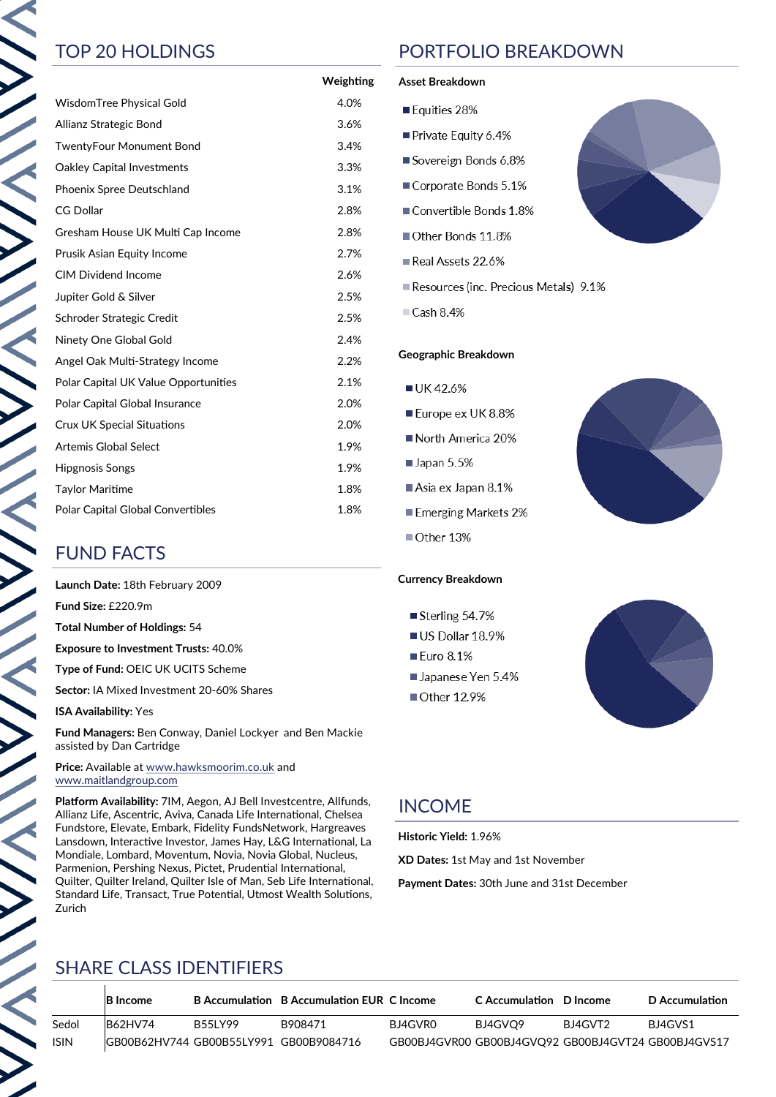$\sum_{i=1}^{n}$ 

|                                             | Weighting |
|---------------------------------------------|-----------|
| <b>WisdomTree Physical Gold</b>             | 4.0%      |
| Allianz Strategic Bond                      | 3.6%      |
| <b>TwentyFour Monument Bond</b>             | 3.4%      |
| <b>Oakley Capital Investments</b>           | 3.3%      |
| Phoenix Spree Deutschland                   | 3.1%      |
| <b>CG Dollar</b>                            | 2.8%      |
| Gresham House UK Multi Cap Income           | 2.8%      |
| Prusik Asian Equity Income                  | 2.7%      |
| <b>CIM Dividend Income</b>                  | 2.6%      |
| Jupiter Gold & Silver                       | 2.5%      |
| Schroder Strategic Credit                   | 2.5%      |
| Ninety One Global Gold                      | 2.4%      |
| Angel Oak Multi-Strategy Income             | 2.2%      |
| <b>Polar Capital UK Value Opportunities</b> | 2.1%      |
| Polar Capital Global Insurance              | 2.0%      |
| <b>Crux UK Special Situations</b>           | 2.0%      |
| <b>Artemis Global Select</b>                | 1.9%      |
| Hipgnosis Songs                             | 1.9%      |
| <b>Taylor Maritime</b>                      | 1.8%      |
| Polar Capital Global Convertibles           | 1.8%      |

# FUND FACTS

**Launch Date:** 18th February 2009

**Fund Size:** £220.9m

**Total Number of Holdings:** 54

**Exposure to Investment Trusts:** 40.0%

**Type of Fund:** OEIC UK UCITS Scheme

**Sector:** IA Mixed Investment 20-60% Shares

**ISA Availability:** Yes

**Fund Managers:** Ben Conway, Daniel Lockyer and Ben Mackie assisted by Dan Cartridge

**Price:** Available at [www.hawksmoorim.co.uk](http://www.hawksmoorim.co.uk) and [www.maitlandgroup.com](http://www.maitlandgroup.com)

**Platform Availability:** 7IM, Aegon, AJ Bell Investcentre, Allfunds, Allianz Life, Ascentric, Aviva, Canada Life International, Chelsea Fundstore, Elevate, Embark, Fidelity FundsNetwork, Hargreaves Lansdown, Interactive Investor, James Hay, L&G International, La Mondiale, Lombard, Moventum, Novia, Novia Global, Nucleus, Parmenion, Pershing Nexus, Pictet, Prudential International, Quilter, Quilter Ireland, Quilter Isle of Man, Seb Life International, Standard Life, Transact, True Potential, Utmost Wealth Solutions, Zurich

# TOP 20 HOLDINGS PORTFOLIO BREAKDOWN

#### **Asset Breakdown**

- Equities 28%
- Private Equity 6.4%
- Sovereign Bonds 6.8%
- Corporate Bonds 5.1%
- Convertible Bonds 1.8%
- Other Bonds 11.8%
- Real Assets 22.6%
- Resources (inc. Precious Metals) 9.1%
- $\Box$  Cash 8.4%

### **Geographic Breakdown**

- UK42.6%
- Europe ex UK 8.8%
- North America 20%
- $\blacksquare$  Japan 5.5%
- Asia ex Japan 8.1%
- Emerging Markets 2%
- Other 13%

## **Currency Breakdown**

- Sterling 54.7%
- US Dollar 18.9%
- Euro 8.1%
- Japanese Yen 5.4%
- Other 12.9%





# INCOME

**Historic Yield:** 1.96%

**XD Dates:** 1st May and 1st November

**Payment Dates:** 30th June and 31st December

## SHARE CLASS IDENTIFIERS

|             | <b>B</b> Income |                | B Accumulation B Accumulation EUR C Income |         | C Accumulation D Income                             |         | D Accumulation |
|-------------|-----------------|----------------|--------------------------------------------|---------|-----------------------------------------------------|---------|----------------|
| Sedol       | <b>B62HV74</b>  | <b>B55LY99</b> | B908471                                    | BJ4GVR0 | BJ4GVO9                                             | BJ4GVT2 | BJ4GVS1        |
| <b>ISIN</b> |                 |                | IGB00B62HV744 GB00B55LY991 GB00B9084716    |         | GB00BJ4GVR00 GB00BJ4GVO92 GB00BJ4GVT24 GB00BJ4GVS17 |         |                |